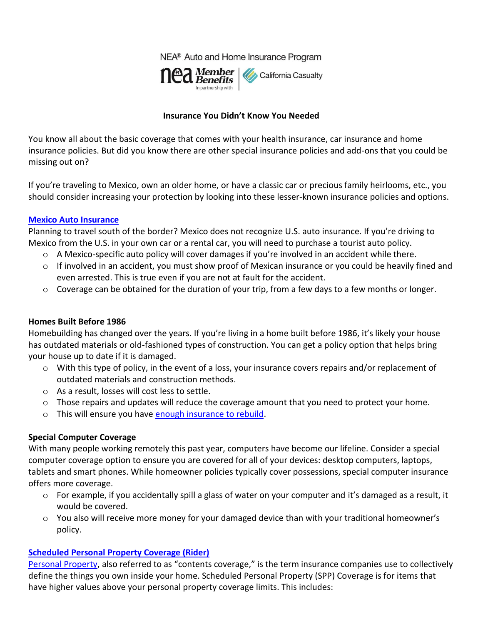NEA® Auto and Home Insurance Program



#### **Insurance You Didn't Know You Needed**

You know all about the basic coverage that comes with your health insurance, car insurance and home insurance policies. But did you know there are other special insurance policies and add-ons that you could be missing out on?

If you're traveling to Mexico, own an older home, or have a classic car or precious family heirlooms, etc., you should consider increasing your protection by looking into these lesser-known insurance policies and options.

#### **[Mexico Auto Insurance](https://www.calcas.com/mexico)**

Planning to travel south of the border? Mexico does not recognize U.S. auto insurance. If you're driving to Mexico from the U.S. in your own car or a rental car, you will need to purchase a tourist auto policy.

- o A Mexico-specific auto policy will cover damages if you're involved in an accident while there.
- $\circ$  If involved in an accident, you must show proof of Mexican insurance or you could be heavily fined and even arrested. This is true even if you are not at fault for the accident.
- $\circ$  Coverage can be obtained for the duration of your trip, from a few days to a few months or longer.

# **Homes Built Before 1986**

Homebuilding has changed over the years. If you're living in a home built before 1986, it's likely your house has outdated materials or old-fashioned types of construction. You can get a policy option that helps bring your house up to date if it is damaged.

- o With this type of policy, in the event of a loss, your insurance covers repairs and/or replacement of outdated materials and construction methods.
- o As a result, losses will cost less to settle.
- $\circ$  Those repairs and updates will reduce the coverage amount that you need to protect your home.
- o This will ensure you have [enough insurance to rebuild.](https://mycalcas.com/2019/04/why-you-may-not-have-enough-insurance-to-rebuild/)

# **Special Computer Coverage**

With many people working remotely this past year, computers have become our lifeline. Consider a special computer coverage option to ensure you are covered for all of your devices: desktop computers, laptops, tablets and smart phones. While homeowner policies typically cover possessions, special computer insurance offers more coverage.

- o For example, if you accidentally spill a glass of water on your computer and it's damaged as a result, it would be covered.
- $\circ$  You also will receive more money for your damaged device than with your traditional homeowner's policy.

# **[Scheduled Personal Property Coverage \(Rider\)](https://mycalcas.com/2020/02/how-to-protect-the-things-you-cherish/)**

[Personal Property](https://mycalcas.com/2021/04/insurance-101-what-is-personal-property-coverage/), also referred to as "contents coverage," is the term insurance companies use to collectively define the things you own inside your home. Scheduled Personal Property (SPP) Coverage is for items that have higher values above your personal property coverage limits. This includes: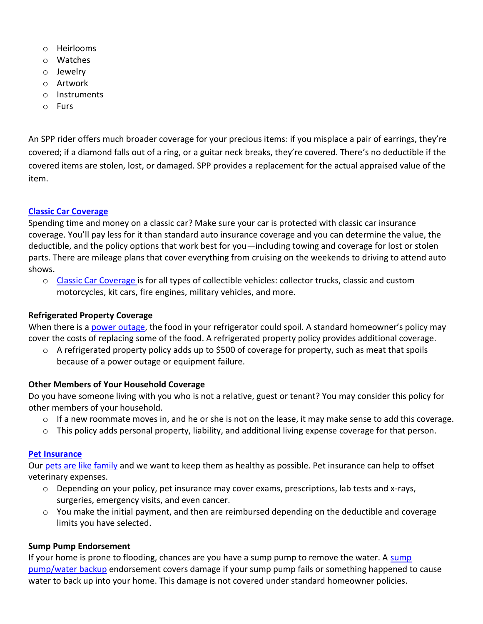- o Heirlooms
- o Watches
- o Jewelry
- o Artwork
- o Instruments
- o Furs

An SPP rider offers much broader coverage for your precious items: if you misplace a pair of earrings, they're covered; if a diamond falls out of a ring, or a guitar neck breaks, they're covered. There's no deductible if the covered items are stolen, lost, or damaged. SPP provides a replacement for the actual appraised value of the item.

# **[Classic Car Coverage](https://www.calcas.com/classic-car-insurance)**

Spending time and money on a classic car? Make sure your car is protected with classic car insurance coverage. You'll pay less for it than standard auto insurance coverage and you can determine the value, the deductible, and the policy options that work best for you—including towing and coverage for lost or stolen parts. There are mileage plans that cover everything from cruising on the weekends to driving to attend auto shows.

o [Classic Car Coverage i](https://mycalcas.com/2019/09/classic-cars-coverage/)s for all types of collectible vehicles: collector trucks, classic and custom motorcycles, kit cars, fire engines, military vehicles, and more.

# **Refrigerated Property Coverage**

When there is a [power outage](https://mycalcas.com/2020/09/preparing-for-a-power-outage/), the food in your refrigerator could spoil. A standard homeowner's policy may cover the costs of replacing some of the food. A refrigerated property policy provides additional coverage.

 $\circ$  A refrigerated property policy adds up to \$500 of coverage for property, such as meat that spoils because of a power outage or equipment failure.

# **Other Members of Your Household Coverage**

Do you have someone living with you who is not a relative, guest or tenant? You may consider this policy for other members of your household.

- $\circ$  If a new roommate moves in, and he or she is not on the lease, it may make sense to add this coverage.
- $\circ$  This policy adds personal property, liability, and additional living expense coverage for that person.

#### **[Pet Insurance](https://www.calcas.com/pet-insurance)**

Our [pets are like family](https://mycalcas.com/2021/02/the-pet-effect-boosting-our-mental-health/) and we want to keep them as healthy as possible. Pet insurance can help to offset veterinary expenses.

- $\circ$  Depending on your policy, pet insurance may cover exams, prescriptions, lab tests and x-rays, surgeries, emergency visits, and even cancer.
- $\circ$  You make the initial payment, and then are reimbursed depending on the deductible and coverage limits you have selected.

# **Sump Pump Endorsement**

If your home is prone to flooding, chances are you have a [sump](https://mycalcas.com/?s=sump+pump) pump to remove the water. A sump [pump/water backup](https://mycalcas.com/?s=sump+pump) endorsement covers damage if your sump pump fails or something happened to cause water to back up into your home. This damage is not covered under standard homeowner policies.